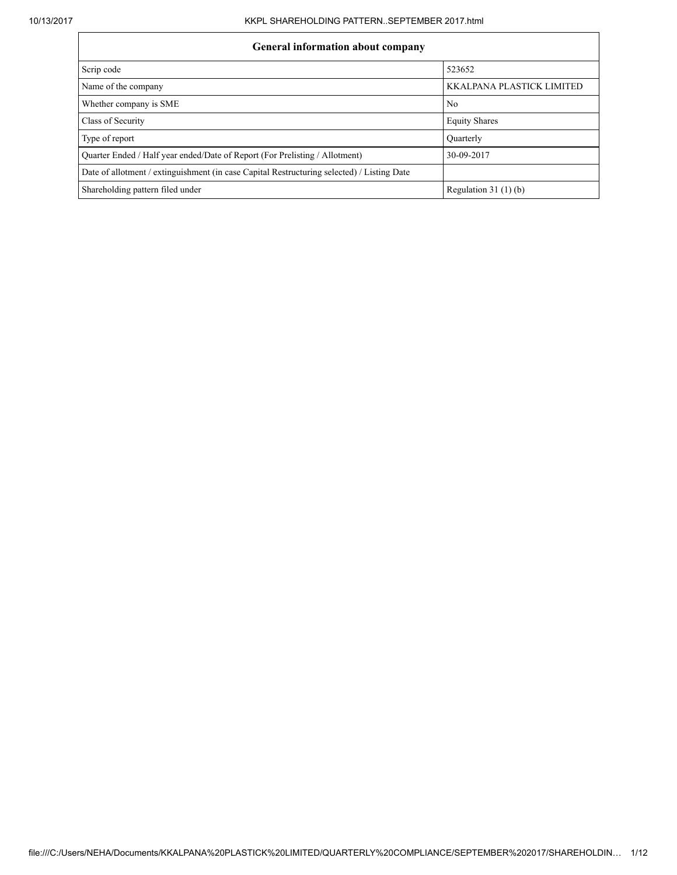# General information about company

| Ocheral miormation about company                                                           |                           |  |  |  |  |  |  |
|--------------------------------------------------------------------------------------------|---------------------------|--|--|--|--|--|--|
| Scrip code                                                                                 | 523652                    |  |  |  |  |  |  |
| Name of the company                                                                        | KKALPANA PLASTICK LIMITED |  |  |  |  |  |  |
| Whether company is SME                                                                     | N <sub>0</sub>            |  |  |  |  |  |  |
| Class of Security                                                                          | <b>Equity Shares</b>      |  |  |  |  |  |  |
| Type of report                                                                             | Ouarterly                 |  |  |  |  |  |  |
| Quarter Ended / Half year ended/Date of Report (For Prelisting / Allotment)                | 30-09-2017                |  |  |  |  |  |  |
| Date of allotment / extinguishment (in case Capital Restructuring selected) / Listing Date |                           |  |  |  |  |  |  |
| Shareholding pattern filed under                                                           | Regulation $31(1)(b)$     |  |  |  |  |  |  |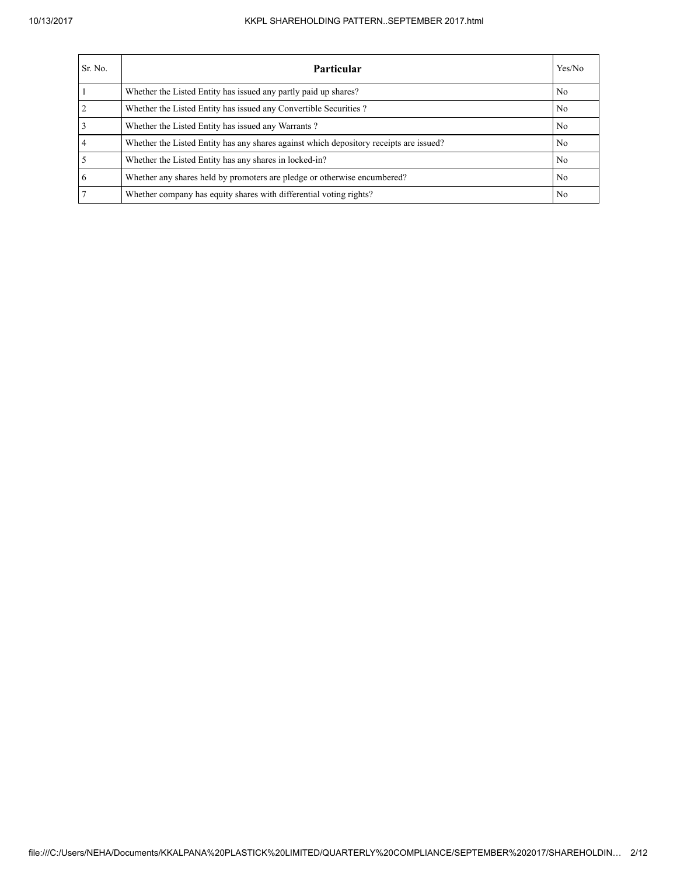### 10/13/2017 KKPL SHAREHOLDING PATTERN..SEPTEMBER 2017.html

| Sr. No. | <b>Particular</b>                                                                      | Yes/No |
|---------|----------------------------------------------------------------------------------------|--------|
|         | Whether the Listed Entity has issued any partly paid up shares?                        | No     |
|         | Whether the Listed Entity has issued any Convertible Securities?                       | No     |
|         | Whether the Listed Entity has issued any Warrants?                                     | No     |
|         | Whether the Listed Entity has any shares against which depository receipts are issued? | No     |
|         | Whether the Listed Entity has any shares in locked-in?                                 | No     |
| 6       | Whether any shares held by promoters are pledge or otherwise encumbered?               | No     |
|         | Whether company has equity shares with differential voting rights?                     | No     |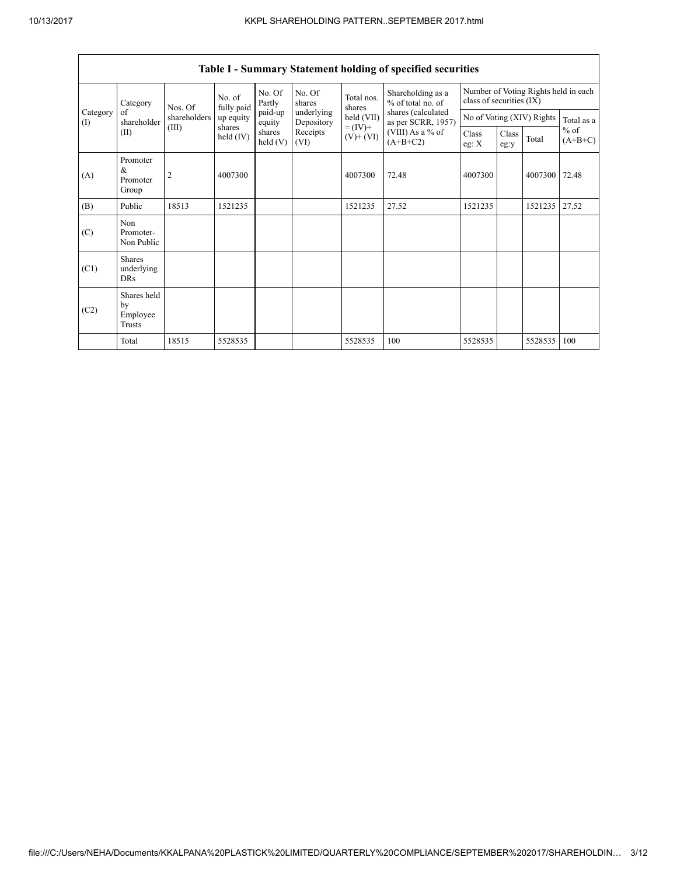| Category        | Nos. Of                                                                                                                             | No. of<br>fully paid                                                                                                                    | No. Of<br>Partly | No. Of<br>shares | Total nos.<br>shares      | Shareholding as a<br>% of total no. of | Number of Voting Rights held in each<br>class of securities (IX) |         |  |         |       |
|-----------------|-------------------------------------------------------------------------------------------------------------------------------------|-----------------------------------------------------------------------------------------------------------------------------------------|------------------|------------------|---------------------------|----------------------------------------|------------------------------------------------------------------|---------|--|---------|-------|
| Category<br>(I) | shares (calculated<br>underlying<br>of<br>paid-up<br>shareholders<br>held (VII)<br>up equity<br>shareholder<br>Depository<br>equity | as per SCRR, 1957)                                                                                                                      |                  |                  | No of Voting (XIV) Rights | Total as a                             |                                                                  |         |  |         |       |
|                 | (II)                                                                                                                                | $= (IV) +$<br>(III)<br>shares<br>shares<br>(VIII) As a % of<br>Receipts<br>held (IV)<br>$(V)$ + $(VI)$<br>$(A+B+C2)$<br>held(V)<br>(VI) |                  | Class<br>eg: $X$ | Class<br>eg:y             | Total                                  | $%$ of<br>$(A+B+C)$                                              |         |  |         |       |
| (A)             | Promoter<br>&<br>Promoter<br>Group                                                                                                  | $\overline{2}$                                                                                                                          | 4007300          |                  |                           | 4007300                                | 72.48                                                            | 4007300 |  | 4007300 | 72.48 |
| (B)             | Public                                                                                                                              | 18513                                                                                                                                   | 1521235          |                  |                           | 1521235                                | 27.52                                                            | 1521235 |  | 1521235 | 27.52 |
| (C)             | Non<br>Promoter-<br>Non Public                                                                                                      |                                                                                                                                         |                  |                  |                           |                                        |                                                                  |         |  |         |       |
| (C1)            | <b>Shares</b><br>underlying<br>DRs                                                                                                  |                                                                                                                                         |                  |                  |                           |                                        |                                                                  |         |  |         |       |
| (C2)            | Shares held<br>by<br>Employee<br>Trusts                                                                                             |                                                                                                                                         |                  |                  |                           |                                        |                                                                  |         |  |         |       |
|                 | Total                                                                                                                               | 18515                                                                                                                                   | 5528535          |                  |                           | 5528535                                | 100                                                              | 5528535 |  | 5528535 | 100   |

## Table I - Summary Statement holding of specified securities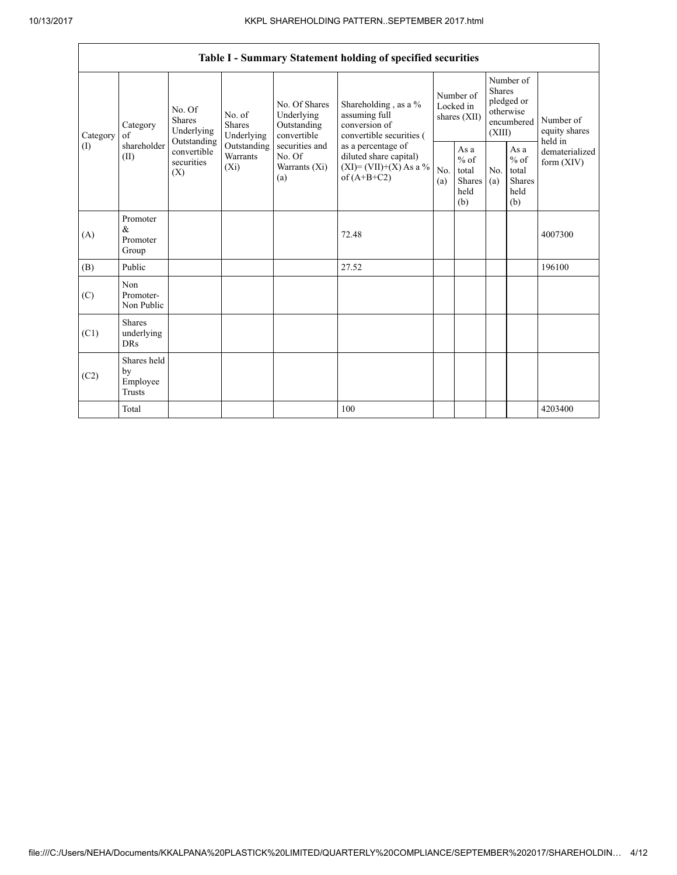|          | Table I - Summary Statement holding of specified securities                                                                                                                                                                                                                                                                                                                                                                                                                                                  |            |                                                  |            |                                                         |                              |                                                                               |  |                                       |         |
|----------|--------------------------------------------------------------------------------------------------------------------------------------------------------------------------------------------------------------------------------------------------------------------------------------------------------------------------------------------------------------------------------------------------------------------------------------------------------------------------------------------------------------|------------|--------------------------------------------------|------------|---------------------------------------------------------|------------------------------|-------------------------------------------------------------------------------|--|---------------------------------------|---------|
| Category | No. Of Shares<br>Shareholding, as a %<br>No. Of<br>Underlying<br>assuming full<br>No. of<br><b>Shares</b><br>Shares<br>conversion of<br>Outstanding<br>Category<br>Underlying<br>convertible<br>Underlying<br>convertible securities (<br>of<br>Outstanding<br>shareholder<br>Outstanding<br>securities and<br>as a percentage of<br>convertible<br>Warrants<br>No. Of<br>diluted share capital)<br>(II)<br>securities<br>$(XI)=(VII)+(X) As a %$<br>$(X_i)$<br>Warrants (Xi)<br>(X)<br>of $(A+B+C2)$<br>(a) |            |                                                  |            | Number of<br>Locked in<br>shares (XII)                  |                              | Number of<br><b>Shares</b><br>pledged or<br>otherwise<br>encumbered<br>(XIII) |  | Number of<br>equity shares<br>held in |         |
| (1)      |                                                                                                                                                                                                                                                                                                                                                                                                                                                                                                              | No.<br>(a) | As a<br>$%$ of<br>total<br>Shares<br>held<br>(b) | No.<br>(a) | As a<br>$%$ of<br>total<br><b>Shares</b><br>held<br>(b) | dematerialized<br>form (XIV) |                                                                               |  |                                       |         |
| (A)      | Promoter<br>&<br>Promoter<br>Group                                                                                                                                                                                                                                                                                                                                                                                                                                                                           |            |                                                  |            | 72.48                                                   |                              |                                                                               |  |                                       | 4007300 |
| (B)      | Public                                                                                                                                                                                                                                                                                                                                                                                                                                                                                                       |            |                                                  |            | 27.52                                                   |                              |                                                                               |  |                                       | 196100  |
| (C)      | Non<br>Promoter-<br>Non Public                                                                                                                                                                                                                                                                                                                                                                                                                                                                               |            |                                                  |            |                                                         |                              |                                                                               |  |                                       |         |
| (C1)     | <b>Shares</b><br>underlying<br><b>DRs</b>                                                                                                                                                                                                                                                                                                                                                                                                                                                                    |            |                                                  |            |                                                         |                              |                                                                               |  |                                       |         |
| (C2)     | Shares held<br>by<br>Employee<br>Trusts                                                                                                                                                                                                                                                                                                                                                                                                                                                                      |            |                                                  |            |                                                         |                              |                                                                               |  |                                       |         |
|          | Total                                                                                                                                                                                                                                                                                                                                                                                                                                                                                                        |            |                                                  |            | 100                                                     |                              |                                                                               |  |                                       | 4203400 |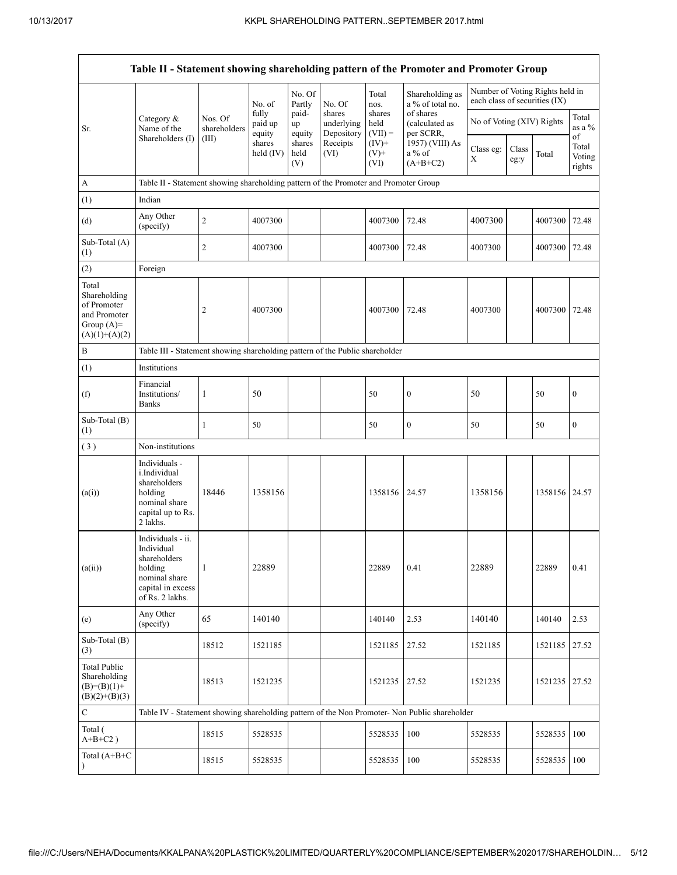|                                                                                         |                                                                                                                     |                         |                            |                       |                                    |                             | Table II - Statement showing shareholding pattern of the Promoter and Promoter Group          |                                                                  |               |         |                                 |
|-----------------------------------------------------------------------------------------|---------------------------------------------------------------------------------------------------------------------|-------------------------|----------------------------|-----------------------|------------------------------------|-----------------------------|-----------------------------------------------------------------------------------------------|------------------------------------------------------------------|---------------|---------|---------------------------------|
|                                                                                         |                                                                                                                     |                         | No. of                     | No. Of<br>Partly      | No. Of                             | Total<br>nos.               | Shareholding as<br>a % of total no.                                                           | Number of Voting Rights held in<br>each class of securities (IX) |               |         |                                 |
| Sr.                                                                                     | Category &<br>Name of the                                                                                           | Nos. Of<br>shareholders | fully<br>paid up<br>equity | paid-<br>up<br>equity | shares<br>underlying<br>Depository | shares<br>held<br>$(VII) =$ | of shares<br>(calculated as<br>per SCRR,                                                      | No of Voting (XIV) Rights                                        |               |         | Total<br>as a %                 |
|                                                                                         | Shareholders (I)                                                                                                    | (III)                   | shares<br>held (IV)        | shares<br>held<br>(V) | Receipts<br>(VI)                   | $(IV)+$<br>$(V)$ +<br>(VI)  | 1957) (VIII) As<br>a % of<br>$(A+B+C2)$                                                       | Class eg:<br>X                                                   | Class<br>eg:y | Total   | of<br>Total<br>Voting<br>rights |
| А                                                                                       | Table II - Statement showing shareholding pattern of the Promoter and Promoter Group                                |                         |                            |                       |                                    |                             |                                                                                               |                                                                  |               |         |                                 |
| (1)                                                                                     | Indian                                                                                                              |                         |                            |                       |                                    |                             |                                                                                               |                                                                  |               |         |                                 |
| (d)                                                                                     | Any Other<br>(specify)                                                                                              | $\boldsymbol{2}$        | 4007300                    |                       |                                    | 4007300                     | 72.48                                                                                         | 4007300                                                          |               | 4007300 | 72.48                           |
| Sub-Total (A)<br>(1)                                                                    |                                                                                                                     | $\overline{2}$          | 4007300                    |                       |                                    | 4007300                     | 72.48                                                                                         | 4007300                                                          |               | 4007300 | 72.48                           |
| (2)                                                                                     | Foreign                                                                                                             |                         |                            |                       |                                    |                             |                                                                                               |                                                                  |               |         |                                 |
| Total<br>Shareholding<br>of Promoter<br>and Promoter<br>Group $(A)=$<br>$(A)(1)+(A)(2)$ |                                                                                                                     | 2                       | 4007300                    |                       |                                    | 4007300                     | 72.48                                                                                         | 4007300                                                          |               | 4007300 | 72.48                           |
| В                                                                                       | Table III - Statement showing shareholding pattern of the Public shareholder                                        |                         |                            |                       |                                    |                             |                                                                                               |                                                                  |               |         |                                 |
| (1)                                                                                     | Institutions                                                                                                        |                         |                            |                       |                                    |                             |                                                                                               |                                                                  |               |         |                                 |
| (f)                                                                                     | Financial<br>Institutions/<br><b>Banks</b>                                                                          | 1                       | 50                         |                       |                                    | 50                          | $\boldsymbol{0}$                                                                              | 50                                                               |               | 50      | $\boldsymbol{0}$                |
| Sub-Total (B)<br>(1)                                                                    |                                                                                                                     | $\mathbf{1}$            | 50                         |                       |                                    | 50                          | $\boldsymbol{0}$                                                                              | 50                                                               |               | 50      | $\boldsymbol{0}$                |
| (3)                                                                                     | Non-institutions                                                                                                    |                         |                            |                       |                                    |                             |                                                                                               |                                                                  |               |         |                                 |
| (a(i))                                                                                  | Individuals -<br>i.Individual<br>shareholders<br>holding<br>nominal share<br>capital up to Rs.<br>2 lakhs.          | 18446                   | 1358156                    |                       |                                    | 1358156 24.57               |                                                                                               | 1358156                                                          |               | 1358156 | 24.57                           |
| (a(ii))                                                                                 | Individuals - ii.<br>Individual<br>shareholders<br>holding<br>nominal share<br>capital in excess<br>of Rs. 2 lakhs. | $\mathbf{1}$            | 22889                      |                       |                                    | 22889                       | 0.41                                                                                          | 22889                                                            |               | 22889   | 0.41                            |
| (e)                                                                                     | Any Other<br>(specify)                                                                                              | 65                      | 140140                     |                       |                                    | 140140                      | 2.53                                                                                          | 140140                                                           |               | 140140  | 2.53                            |
| Sub-Total (B)<br>(3)                                                                    |                                                                                                                     | 18512                   | 1521185                    |                       |                                    | 1521185                     | 27.52                                                                                         | 1521185                                                          |               | 1521185 | 27.52                           |
| Total Public<br>Shareholding<br>$(B)=(B)(1)+$<br>$(B)(2)+(B)(3)$                        |                                                                                                                     | 18513                   | 1521235                    |                       |                                    | 1521235                     | 27.52                                                                                         | 1521235                                                          |               | 1521235 | 27.52                           |
| $\mathbf C$                                                                             |                                                                                                                     |                         |                            |                       |                                    |                             | Table IV - Statement showing shareholding pattern of the Non Promoter- Non Public shareholder |                                                                  |               |         |                                 |
| Total (<br>$A+B+C2$ )                                                                   |                                                                                                                     | 18515                   | 5528535                    |                       |                                    | 5528535                     | 100                                                                                           | 5528535                                                          |               | 5528535 | 100                             |
| Total $(A+B+C)$<br>$\lambda$                                                            |                                                                                                                     | 18515                   | 5528535                    |                       |                                    | 5528535                     | 100                                                                                           | 5528535                                                          |               | 5528535 | 100                             |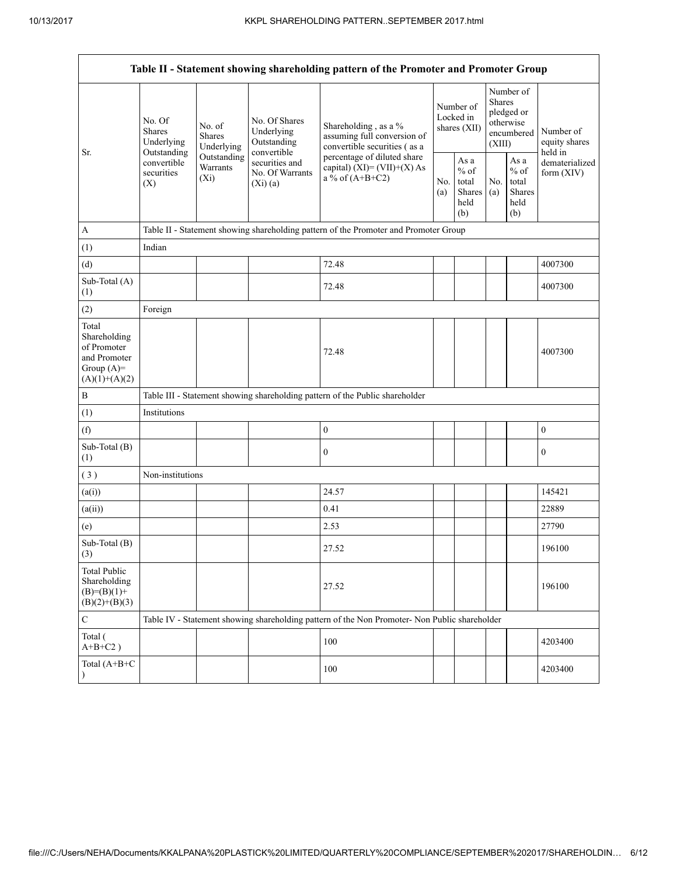| Table II - Statement showing shareholding pattern of the Promoter and Promoter Group    |                                                    |                                    |                                                                                                              |                                                                                                                                                                           |                                        |                                                  |                                                                               |                                                  |                                       |
|-----------------------------------------------------------------------------------------|----------------------------------------------------|------------------------------------|--------------------------------------------------------------------------------------------------------------|---------------------------------------------------------------------------------------------------------------------------------------------------------------------------|----------------------------------------|--------------------------------------------------|-------------------------------------------------------------------------------|--------------------------------------------------|---------------------------------------|
| Sr.                                                                                     | No. Of<br>No. of<br>Shares<br>Shares<br>Underlying | Underlying                         | No. Of Shares<br>Underlying<br>Outstanding<br>convertible<br>securities and<br>No. Of Warrants<br>$(Xi)$ (a) | Shareholding, as a %<br>assuming full conversion of<br>convertible securities (as a<br>percentage of diluted share<br>capital) $(XI) = (VII)+(X) As$<br>a % of $(A+B+C2)$ | Number of<br>Locked in<br>shares (XII) |                                                  | Number of<br><b>Shares</b><br>pledged or<br>otherwise<br>encumbered<br>(XIII) |                                                  | Number of<br>equity shares<br>held in |
|                                                                                         | Outstanding<br>convertible<br>securities<br>(X)    | Outstanding<br>Warrants<br>$(X_i)$ |                                                                                                              |                                                                                                                                                                           | No.<br>(a)                             | As a<br>$%$ of<br>total<br>Shares<br>held<br>(b) | No.<br>(a)                                                                    | As a<br>$%$ of<br>total<br>Shares<br>held<br>(b) | dematerialized<br>form $(XIV)$        |
| $\mathbf{A}$                                                                            |                                                    |                                    |                                                                                                              | Table II - Statement showing shareholding pattern of the Promoter and Promoter Group                                                                                      |                                        |                                                  |                                                                               |                                                  |                                       |
| (1)                                                                                     | Indian                                             |                                    |                                                                                                              |                                                                                                                                                                           |                                        |                                                  |                                                                               |                                                  |                                       |
| (d)                                                                                     |                                                    |                                    |                                                                                                              | 72.48                                                                                                                                                                     |                                        |                                                  |                                                                               |                                                  | 4007300                               |
| Sub-Total (A)<br>(1)                                                                    |                                                    |                                    |                                                                                                              | 72.48                                                                                                                                                                     |                                        |                                                  |                                                                               |                                                  | 4007300                               |
| (2)                                                                                     | Foreign                                            |                                    |                                                                                                              |                                                                                                                                                                           |                                        |                                                  |                                                                               |                                                  |                                       |
| Total<br>Shareholding<br>of Promoter<br>and Promoter<br>Group $(A)=$<br>$(A)(1)+(A)(2)$ |                                                    |                                    |                                                                                                              | 72.48                                                                                                                                                                     |                                        |                                                  |                                                                               |                                                  | 4007300                               |
| B                                                                                       |                                                    |                                    |                                                                                                              | Table III - Statement showing shareholding pattern of the Public shareholder                                                                                              |                                        |                                                  |                                                                               |                                                  |                                       |
| (1)                                                                                     | Institutions                                       |                                    |                                                                                                              |                                                                                                                                                                           |                                        |                                                  |                                                                               |                                                  |                                       |
| (f)                                                                                     |                                                    |                                    |                                                                                                              | $\boldsymbol{0}$                                                                                                                                                          |                                        |                                                  |                                                                               |                                                  | $\boldsymbol{0}$                      |
| Sub-Total (B)<br>(1)                                                                    |                                                    |                                    |                                                                                                              | $\boldsymbol{0}$                                                                                                                                                          |                                        |                                                  |                                                                               |                                                  | $\boldsymbol{0}$                      |
| (3)                                                                                     | Non-institutions                                   |                                    |                                                                                                              |                                                                                                                                                                           |                                        |                                                  |                                                                               |                                                  |                                       |
| (a(i))                                                                                  |                                                    |                                    |                                                                                                              | 24.57                                                                                                                                                                     |                                        |                                                  |                                                                               |                                                  | 145421                                |
| (a(ii))                                                                                 |                                                    |                                    |                                                                                                              | 0.41                                                                                                                                                                      |                                        |                                                  |                                                                               |                                                  | 22889                                 |
| (e)                                                                                     |                                                    |                                    |                                                                                                              | 2.53                                                                                                                                                                      |                                        |                                                  |                                                                               |                                                  | 27790                                 |
| Sub-Total (B)<br>$\left(3\right)$                                                       |                                                    |                                    |                                                                                                              | 27.52                                                                                                                                                                     |                                        |                                                  |                                                                               |                                                  | 196100                                |
| <b>Total Public</b><br>Shareholding<br>$(B)= (B)(1) +$<br>$(B)(2)+(B)(3)$               |                                                    |                                    |                                                                                                              | 27.52                                                                                                                                                                     |                                        |                                                  |                                                                               |                                                  | 196100                                |
| ${\bf C}$                                                                               |                                                    |                                    |                                                                                                              | Table IV - Statement showing shareholding pattern of the Non Promoter- Non Public shareholder                                                                             |                                        |                                                  |                                                                               |                                                  |                                       |
| Total (<br>$A+B+C2$ )                                                                   |                                                    |                                    |                                                                                                              | 100                                                                                                                                                                       |                                        |                                                  |                                                                               |                                                  | 4203400                               |
| Total (A+B+C                                                                            |                                                    |                                    |                                                                                                              | 100                                                                                                                                                                       |                                        |                                                  |                                                                               |                                                  | 4203400                               |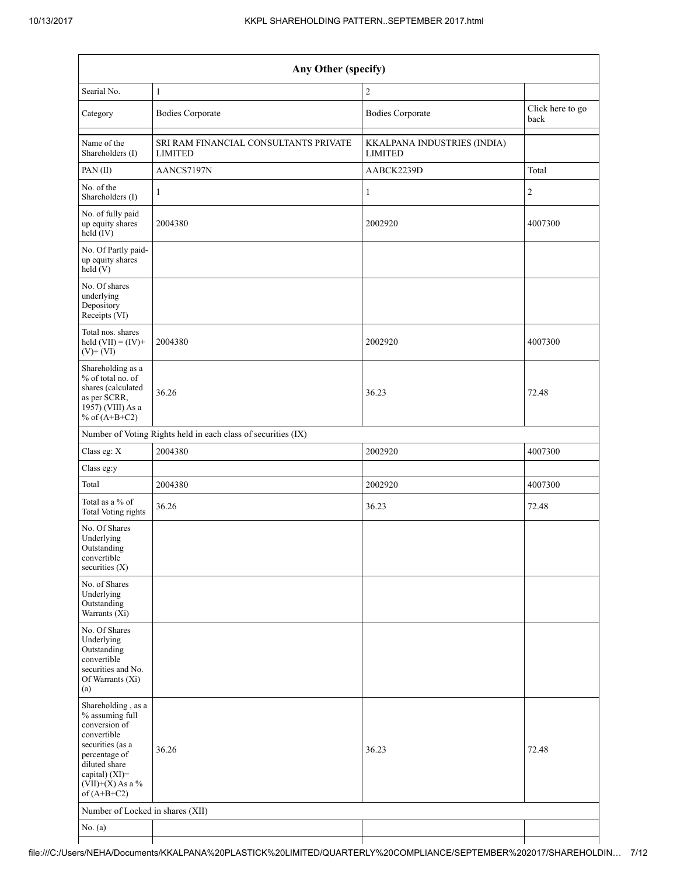| Any Other (specify)                                                                                                                                                                  |                                                                                                          |                |                |  |  |  |  |
|--------------------------------------------------------------------------------------------------------------------------------------------------------------------------------------|----------------------------------------------------------------------------------------------------------|----------------|----------------|--|--|--|--|
| Searial No.                                                                                                                                                                          | $\mathbf{1}$                                                                                             | $\overline{2}$ |                |  |  |  |  |
| Category                                                                                                                                                                             | <b>Bodies Corporate</b><br><b>Bodies Corporate</b>                                                       |                |                |  |  |  |  |
| Name of the<br>Shareholders (I)                                                                                                                                                      | SRI RAM FINANCIAL CONSULTANTS PRIVATE<br>KKALPANA INDUSTRIES (INDIA)<br><b>LIMITED</b><br><b>LIMITED</b> |                |                |  |  |  |  |
| PAN(II)                                                                                                                                                                              | AANCS7197N                                                                                               | AABCK2239D     | Total          |  |  |  |  |
| No. of the<br>Shareholders (I)                                                                                                                                                       | 1                                                                                                        | $\mathbf{1}$   | $\overline{c}$ |  |  |  |  |
| No. of fully paid<br>up equity shares<br>held (IV)                                                                                                                                   | 2004380                                                                                                  | 2002920        | 4007300        |  |  |  |  |
| No. Of Partly paid-<br>up equity shares<br>held(V)                                                                                                                                   |                                                                                                          |                |                |  |  |  |  |
| No. Of shares<br>underlying<br>Depository<br>Receipts (VI)                                                                                                                           |                                                                                                          |                |                |  |  |  |  |
| Total nos. shares<br>held $(VII) = (IV) +$<br>$(V)$ + $(VI)$                                                                                                                         | 2004380                                                                                                  | 2002920        | 4007300        |  |  |  |  |
| Shareholding as a<br>% of total no. of<br>shares (calculated<br>as per SCRR,<br>$19\bar{5}7$ ) (VIII) As a<br>% of $(A+B+C2)$                                                        | 36.26                                                                                                    | 36.23          | 72.48          |  |  |  |  |
|                                                                                                                                                                                      | Number of Voting Rights held in each class of securities (IX)                                            |                |                |  |  |  |  |
| Class eg: X                                                                                                                                                                          | 2004380                                                                                                  | 2002920        | 4007300        |  |  |  |  |
| Class eg:y                                                                                                                                                                           |                                                                                                          |                |                |  |  |  |  |
| Total                                                                                                                                                                                | 2004380                                                                                                  | 2002920        | 4007300        |  |  |  |  |
| Total as a % of<br>Total Voting rights                                                                                                                                               | 36.26                                                                                                    | 36.23          | 72.48          |  |  |  |  |
| No. Of Shares<br>Underlying<br>Outstanding<br>convertible<br>securities $(X)$                                                                                                        |                                                                                                          |                |                |  |  |  |  |
| No. of Shares<br>Underlying<br>Outstanding<br>Warrants (Xi)                                                                                                                          |                                                                                                          |                |                |  |  |  |  |
| No. Of Shares<br>Underlying<br>Outstanding<br>convertible<br>securities and No.<br>Of Warrants (Xi)<br>(a)                                                                           |                                                                                                          |                |                |  |  |  |  |
| Shareholding, as a<br>% assuming full<br>conversion of<br>convertible<br>securities (as a<br>percentage of<br>diluted share<br>capital) (XI)=<br>$(VII)+(X)$ As a %<br>of $(A+B+C2)$ | 36.26<br>36.23                                                                                           |                | 72.48          |  |  |  |  |
| Number of Locked in shares (XII)                                                                                                                                                     |                                                                                                          |                |                |  |  |  |  |
| No. (a)                                                                                                                                                                              |                                                                                                          |                |                |  |  |  |  |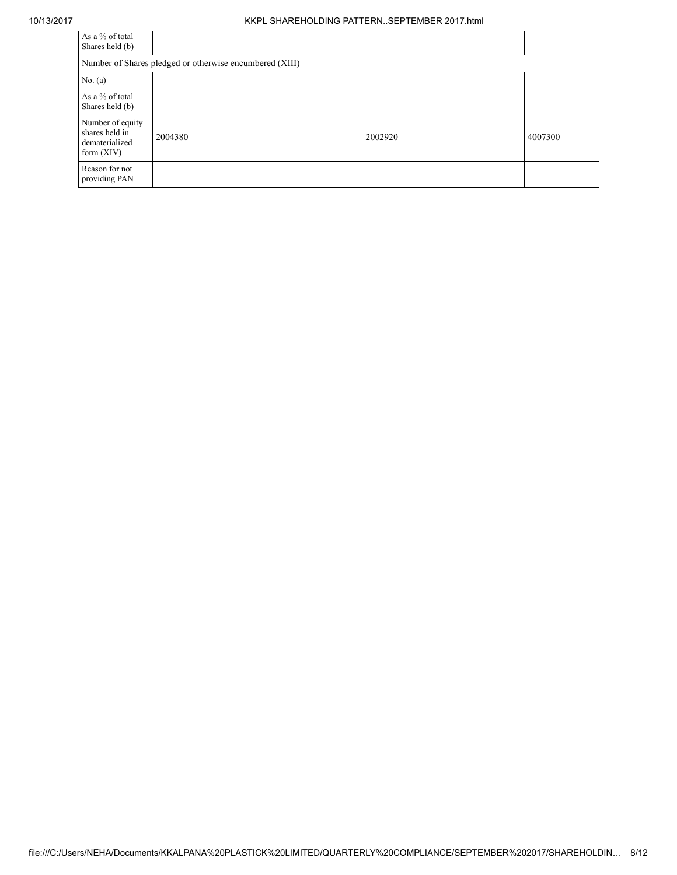#### 10/13/2017 KKPL SHAREHOLDING PATTERN..SEPTEMBER 2017.html

| As a % of total<br>Shares held (b)                                   |                                                         |         |         |  |  |  |  |  |
|----------------------------------------------------------------------|---------------------------------------------------------|---------|---------|--|--|--|--|--|
|                                                                      | Number of Shares pledged or otherwise encumbered (XIII) |         |         |  |  |  |  |  |
| No. $(a)$                                                            |                                                         |         |         |  |  |  |  |  |
| As a % of total<br>Shares held (b)                                   |                                                         |         |         |  |  |  |  |  |
| Number of equity<br>shares held in<br>dematerialized<br>form $(XIV)$ | 2004380                                                 | 2002920 | 4007300 |  |  |  |  |  |
| Reason for not<br>providing PAN                                      |                                                         |         |         |  |  |  |  |  |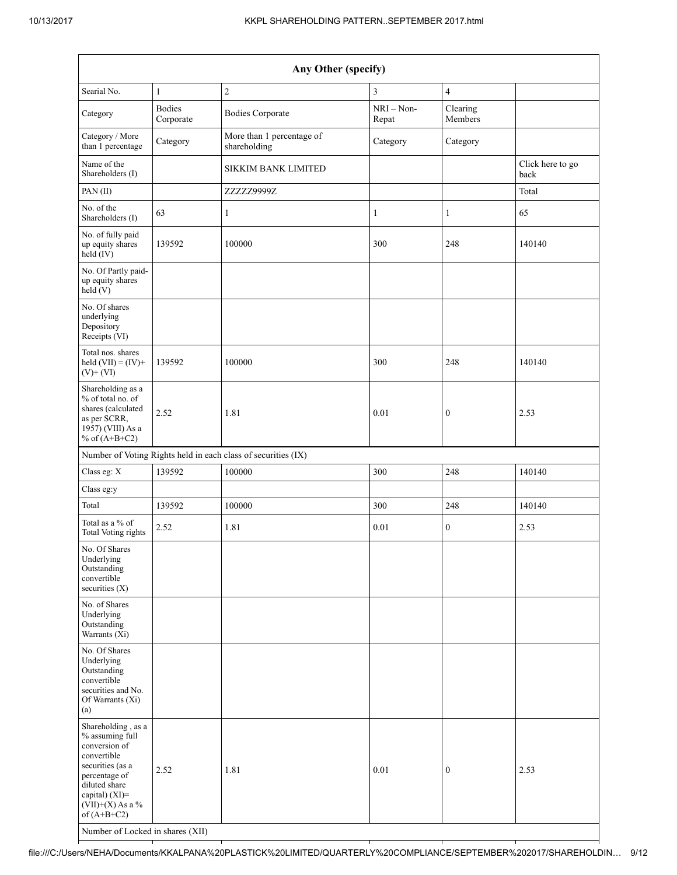| Any Other (specify)                                                                                                                                                                                                      |                            |                                                               |                       |                         |                          |  |  |  |
|--------------------------------------------------------------------------------------------------------------------------------------------------------------------------------------------------------------------------|----------------------------|---------------------------------------------------------------|-----------------------|-------------------------|--------------------------|--|--|--|
| Searial No.                                                                                                                                                                                                              | $\mathbf{1}$               | $\sqrt{2}$                                                    | $\mathfrak{Z}$        | $\overline{\mathbf{4}}$ |                          |  |  |  |
| Category                                                                                                                                                                                                                 | <b>Bodies</b><br>Corporate | <b>Bodies Corporate</b>                                       | $NRI - Non-$<br>Repat | Clearing<br>Members     |                          |  |  |  |
| Category / More<br>than 1 percentage                                                                                                                                                                                     | Category                   | More than 1 percentage of<br>shareholding                     | Category              | Category                |                          |  |  |  |
| Name of the<br>Shareholders (I)                                                                                                                                                                                          |                            | SIKKIM BANK LIMITED                                           |                       |                         | Click here to go<br>back |  |  |  |
| PAN(II)                                                                                                                                                                                                                  |                            | ZZZZZ9999Z                                                    |                       |                         | Total                    |  |  |  |
| No. of the<br>Shareholders (I)                                                                                                                                                                                           | 63                         | $\mathbf{1}$                                                  | $\mathbf{1}$          | $\mathbf{1}$            | 65                       |  |  |  |
| No. of fully paid<br>up equity shares<br>held (IV)                                                                                                                                                                       | 139592                     | 100000                                                        | 300                   | 248                     | 140140                   |  |  |  |
| No. Of Partly paid-<br>up equity shares<br>held(V)                                                                                                                                                                       |                            |                                                               |                       |                         |                          |  |  |  |
| No. Of shares<br>underlying<br>Depository<br>Receipts (VI)                                                                                                                                                               |                            |                                                               |                       |                         |                          |  |  |  |
| Total nos. shares<br>held $(VII) = (IV) +$<br>$(V)$ + $(VI)$                                                                                                                                                             | 139592                     | 100000                                                        | 300                   | 248                     | 140140                   |  |  |  |
| Shareholding as a<br>% of total no. of<br>shares (calculated<br>as per SCRR,<br>1957) (VIII) As a<br>% of $(A+B+C2)$                                                                                                     | 2.52                       | 1.81                                                          | 0.01                  | $\boldsymbol{0}$        | 2.53                     |  |  |  |
|                                                                                                                                                                                                                          |                            | Number of Voting Rights held in each class of securities (IX) |                       |                         |                          |  |  |  |
| Class eg: X                                                                                                                                                                                                              | 139592                     | 100000                                                        | 300                   | 248                     | 140140                   |  |  |  |
| Class eg:y                                                                                                                                                                                                               |                            |                                                               |                       |                         |                          |  |  |  |
| Total                                                                                                                                                                                                                    | 139592                     | 100000                                                        | 300                   | 248                     | 140140                   |  |  |  |
| Total as a % of<br><b>Total Voting rights</b>                                                                                                                                                                            | 2.52                       | 1.81                                                          | 0.01                  | 0                       | 2.53                     |  |  |  |
| No. Of Shares<br>Underlying<br>Outstanding<br>convertible<br>securities $(X)$                                                                                                                                            |                            |                                                               |                       |                         |                          |  |  |  |
| No. of Shares<br>Underlying<br>Outstanding<br>Warrants $(Xi)$                                                                                                                                                            |                            |                                                               |                       |                         |                          |  |  |  |
| No. Of Shares<br>Underlying<br>Outstanding<br>convertible<br>securities and No.<br>Of Warrants (Xi)<br>(a)                                                                                                               |                            |                                                               |                       |                         |                          |  |  |  |
| Shareholding, as a<br>% assuming full<br>conversion of<br>convertible<br>securities (as a<br>percentage of<br>diluted share<br>capital) (XI)=<br>$(VII)+(X)$ As a %<br>of $(A+B+C2)$<br>Number of Locked in shares (XII) | 2.52                       | 1.81                                                          | $0.01\,$              | $\boldsymbol{0}$        | 2.53                     |  |  |  |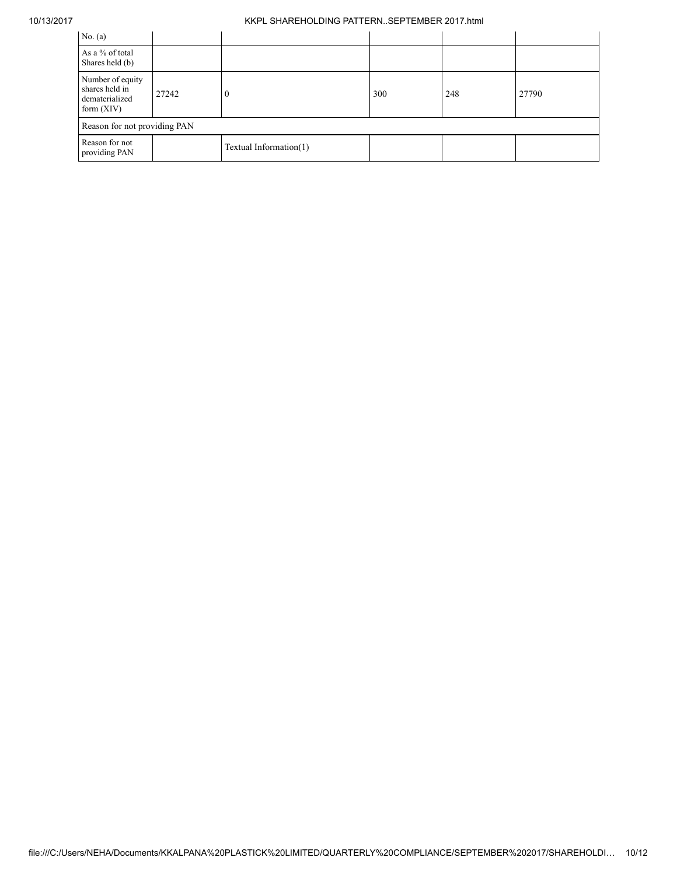### 10/13/2017 KKPL SHAREHOLDING PATTERN..SEPTEMBER 2017.html

| No. $(a)$                                                            |       |                        |     |     |       |  |  |  |
|----------------------------------------------------------------------|-------|------------------------|-----|-----|-------|--|--|--|
| As a % of total<br>Shares held (b)                                   |       |                        |     |     |       |  |  |  |
| Number of equity<br>shares held in<br>dematerialized<br>form $(XIV)$ | 27242 | $\boldsymbol{0}$       | 300 | 248 | 27790 |  |  |  |
| Reason for not providing PAN                                         |       |                        |     |     |       |  |  |  |
| Reason for not<br>providing PAN                                      |       | Textual Information(1) |     |     |       |  |  |  |